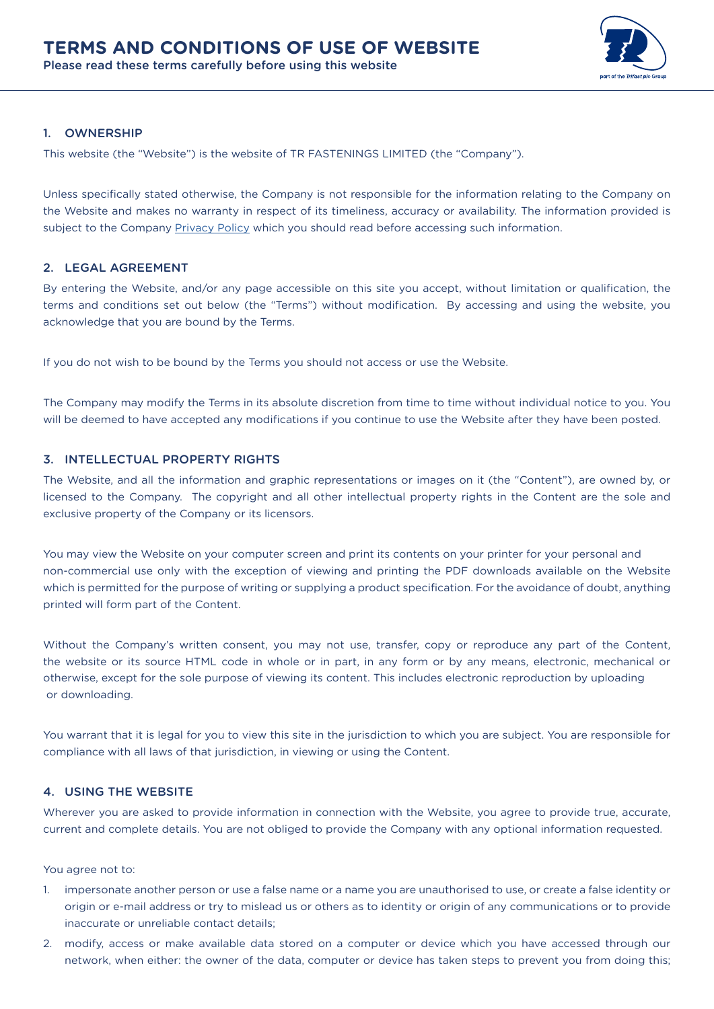

# 1. OWNERSHIP

This website (the "Website") is the website of TR FASTENINGS LIMITED (the "Company").

Unless specifically stated otherwise, the Company is not responsible for the information relating to the Company on the Website and makes no warranty in respect of its timeliness, accuracy or availability. The information provided is subject to the Company [Privacy Policy](https://www.trfastenings.com/Company/Documentation-and-Policies) which you should read before accessing such information.

## 2. LEGAL AGREEMENT

By entering the Website, and/or any page accessible on this site you accept, without limitation or qualification, the terms and conditions set out below (the "Terms") without modification. By accessing and using the website, you acknowledge that you are bound by the Terms.

If you do not wish to be bound by the Terms you should not access or use the Website.

The Company may modify the Terms in its absolute discretion from time to time without individual notice to you. You will be deemed to have accepted any modifications if you continue to use the Website after they have been posted.

## 3. INTELLECTUAL PROPERTY RIGHTS

The Website, and all the information and graphic representations or images on it (the "Content"), are owned by, or licensed to the Company. The copyright and all other intellectual property rights in the Content are the sole and exclusive property of the Company or its licensors.

You may view the Website on your computer screen and print its contents on your printer for your personal and non-commercial use only with the exception of viewing and printing the PDF downloads available on the Website which is permitted for the purpose of writing or supplying a product specification. For the avoidance of doubt, anything printed will form part of the Content.

Without the Company's written consent, you may not use, transfer, copy or reproduce any part of the Content, the website or its source HTML code in whole or in part, in any form or by any means, electronic, mechanical or otherwise, except for the sole purpose of viewing its content. This includes electronic reproduction by uploading or downloading.

You warrant that it is legal for you to view this site in the jurisdiction to which you are subject. You are responsible for compliance with all laws of that jurisdiction, in viewing or using the Content.

#### 4. USING THE WEBSITE

Wherever you are asked to provide information in connection with the Website, you agree to provide true, accurate, current and complete details. You are not obliged to provide the Company with any optional information requested.

You agree not to:

- 1. impersonate another person or use a false name or a name you are unauthorised to use, or create a false identity or origin or e-mail address or try to mislead us or others as to identity or origin of any communications or to provide inaccurate or unreliable contact details;
- 2. modify, access or make available data stored on a computer or device which you have accessed through our network, when either: the owner of the data, computer or device has taken steps to prevent you from doing this;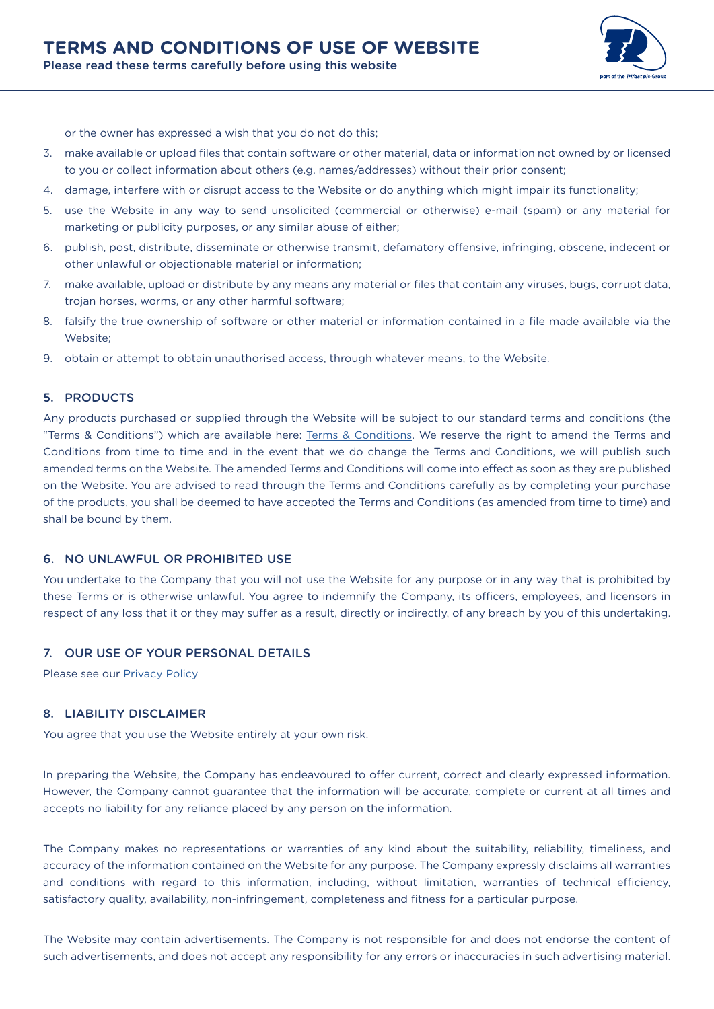

or the owner has expressed a wish that you do not do this;

- 3. make available or upload files that contain software or other material, data or information not owned by or licensed to you or collect information about others (e.g. names/addresses) without their prior consent;
- 4. damage, interfere with or disrupt access to the Website or do anything which might impair its functionality;
- 5. use the Website in any way to send unsolicited (commercial or otherwise) e-mail (spam) or any material for marketing or publicity purposes, or any similar abuse of either;
- 6. publish, post, distribute, disseminate or otherwise transmit, defamatory offensive, infringing, obscene, indecent or other unlawful or objectionable material or information;
- 7. make available, upload or distribute by any means any material or files that contain any viruses, bugs, corrupt data, trojan horses, worms, or any other harmful software;
- 8. falsify the true ownership of software or other material or information contained in a file made available via the Website;
- 9. obtain or attempt to obtain unauthorised access, through whatever means, to the Website.

## 5. PRODUCTS

Any products purchased or supplied through the Website will be subject to our standard terms and conditions (the "Terms & Conditions") which are available here: [Terms & Conditions.](https://www.trfastenings.com/Company/Documentation-and-Policies) We reserve the right to amend the Terms and Conditions from time to time and in the event that we do change the Terms and Conditions, we will publish such amended terms on the Website. The amended Terms and Conditions will come into effect as soon as they are published on the Website. You are advised to read through the Terms and Conditions carefully as by completing your purchase of the products, you shall be deemed to have accepted the Terms and Conditions (as amended from time to time) and shall be bound by them.

## 6. NO UNLAWFUL OR PROHIBITED USE

You undertake to the Company that you will not use the Website for any purpose or in any way that is prohibited by these Terms or is otherwise unlawful. You agree to indemnify the Company, its officers, employees, and licensors in respect of any loss that it or they may suffer as a result, directly or indirectly, of any breach by you of this undertaking.

## 7. OUR USE OF YOUR PERSONAL DETAILS

Please see our [Privacy Policy](https://www.trfastenings.com/Company/Documentation-and-Policies)

# 8. LIABILITY DISCLAIMER

You agree that you use the Website entirely at your own risk.

In preparing the Website, the Company has endeavoured to offer current, correct and clearly expressed information. However, the Company cannot guarantee that the information will be accurate, complete or current at all times and accepts no liability for any reliance placed by any person on the information.

The Company makes no representations or warranties of any kind about the suitability, reliability, timeliness, and accuracy of the information contained on the Website for any purpose. The Company expressly disclaims all warranties and conditions with regard to this information, including, without limitation, warranties of technical efficiency, satisfactory quality, availability, non-infringement, completeness and fitness for a particular purpose.

The Website may contain advertisements. The Company is not responsible for and does not endorse the content of such advertisements, and does not accept any responsibility for any errors or inaccuracies in such advertising material.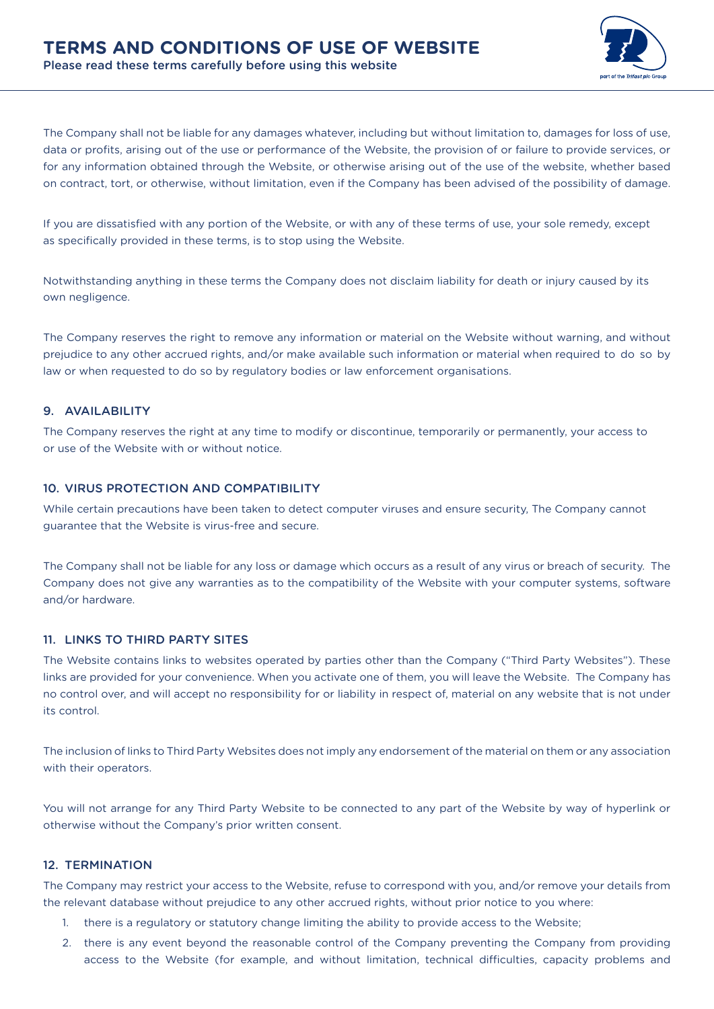The Company shall not be liable for any damages whatever, including but without limitation to, damages for loss of use, data or profits, arising out of the use or performance of the Website, the provision of or failure to provide services, or for any information obtained through the Website, or otherwise arising out of the use of the website, whether based on contract, tort, or otherwise, without limitation, even if the Company has been advised of the possibility of damage.

If you are dissatisfied with any portion of the Website, or with any of these terms of use, your sole remedy, except as specifically provided in these terms, is to stop using the Website.

Notwithstanding anything in these terms the Company does not disclaim liability for death or injury caused by its own negligence.

The Company reserves the right to remove any information or material on the Website without warning, and without prejudice to any other accrued rights, and/or make available such information or material when required to do so by law or when requested to do so by regulatory bodies or law enforcement organisations.

## 9. AVAILABILITY

The Company reserves the right at any time to modify or discontinue, temporarily or permanently, your access to or use of the Website with or without notice.

## 10. VIRUS PROTECTION AND COMPATIBILITY

While certain precautions have been taken to detect computer viruses and ensure security, The Company cannot guarantee that the Website is virus-free and secure.

The Company shall not be liable for any loss or damage which occurs as a result of any virus or breach of security. The Company does not give any warranties as to the compatibility of the Website with your computer systems, software and/or hardware.

## 11. LINKS TO THIRD PARTY SITES

The Website contains links to websites operated by parties other than the Company ("Third Party Websites"). These links are provided for your convenience. When you activate one of them, you will leave the Website. The Company has no control over, and will accept no responsibility for or liability in respect of, material on any website that is not under its control.

The inclusion of links to Third Party Websites does not imply any endorsement of the material on them or any association with their operators.

You will not arrange for any Third Party Website to be connected to any part of the Website by way of hyperlink or otherwise without the Company's prior written consent.

### 12. TERMINATION

The Company may restrict your access to the Website, refuse to correspond with you, and/or remove your details from the relevant database without prejudice to any other accrued rights, without prior notice to you where:

- 1. there is a regulatory or statutory change limiting the ability to provide access to the Website;
- 2. there is any event beyond the reasonable control of the Company preventing the Company from providing access to the Website (for example, and without limitation, technical difficulties, capacity problems and